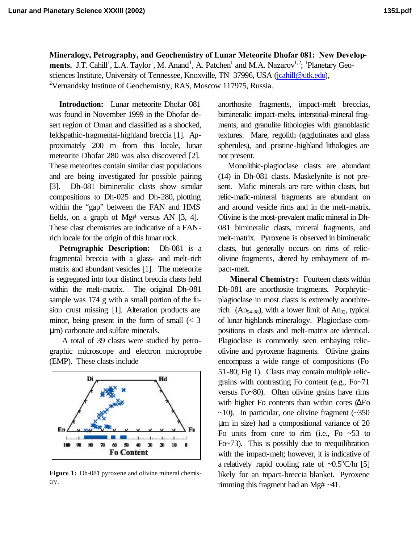**Mineralogy, Petrography, and Geochemistry of Lunar Meteorite Dhofar 081: New Develop**ments. J.T. Cahill<sup>1</sup>, L.A. Taylor<sup>1</sup>, M. Anand<sup>1</sup>, A. Patchen<sup>1</sup> and M.A. Nazarov<sup>1,2</sup>; <sup>1</sup>Planetary Geosciences Institute, University of Tennessee, Knoxville, TN 37996, USA (jcahill@utk.edu), <sup>2</sup>Vernandsky Institute of Geochemistry, RAS, Moscow 117975, Russia.

**Introduction:** Lunar meteorite Dhofar 081 was found in November 1999 in the Dhofar desert region of Oman and classified as a shocked, feldspathic-fragmental-highland breccia [1]. Approximately 200 m from this locale, lunar meteorite Dhofar 280 was also discovered [2]. These meteorites contain similar clast populations and are being investigated for possible pairing [3]. Dh-081 bimineralic clasts show similar compositions to Dh-025 and Dh-280, plotting within the "gap" between the FAN and HMS fields, on a graph of Mg# versus AN [3, 4]. These clast chemistries are indicative of a FANrich locale for the origin of this lunar rock.

**Petrographic Description:** Dh-081 is a fragmental breccia with a glass- and melt-rich matrix and abundant vesicles [1]. The meteorite is segregated into four distinct breccia clasts held within the melt-matrix. The original Dh-081 sample was 174 g with a small portion of the fusion crust missing [1]. Alteration products are minor, being present in the form of small  $\langle \langle 3 \rangle$ μm) carbonate and sulfate minerals.

 A total of 39 clasts were studied by petrographic microscope and electron microprobe (EMP). These clasts include



Figure 1: Dh-081 pyroxene and olivine mineral chemistry.

anorthosite fragments, impact-melt breccias, bimineralic impact-melts, interstitial-mineral fragments, and granulite lithologies with granoblastic textures. Mare, regolith (agglutinates and glass spherules), and pristine-highland lithologies are not present.

Monolithic-plagioclase clasts are abundant (14) in Dh-081 clasts. Maskelynite is not present. Mafic minerals are rare within clasts, but relic-mafic-mineral fragments are abundant on and around vesicle rims and in the melt-matrix. Olivine is the most-prevalent mafic mineral in Dh-081 bimineralic clasts, mineral fragments, and melt-matrix. Pyroxene is observed in bimineralic clasts, but generally occurs on rims of relicolivine fragments, altered by embayment of impact-melt.

**Mineral Chemistry:** Fourteen clasts within Dh-081 are anorthosite fragments. Porphryticplagioclase in most clasts is extremely anorthiterich  $(An_{94-98})$ , with a lower limit of  $An_{92}$ , typical of lunar highlands mineralogy. Plagioclase compositions in clasts and melt-matrix are identical. Plagioclase is commonly seen embaying relicolivine and pyroxene fragments. Olivine grains encompass a wide range of compositions (Fo 51-80; Fig 1). Clasts may contain multiple relicgrains with contrasting Fo content (e.g., Fo~71 versus Fo~80). Often olivine grains have rims with higher Fo contents than within cores (ΔFo  $\sim$ 10). In particular, one olivine fragment ( $\sim$ 350 μm in size) had a compositional variance of 20 Fo units from core to rim (i.e., Fo  $\sim$  53 to Fo~73). This is possibly due to reequilibration with the impact-melt; however, it is indicative of a relatively rapid cooling rate of  $\sim 0.5^{\circ}$ C/hr [5] likely for an impact-breccia blanket. Pyroxene rimming this fragment had an Mg# ~41.